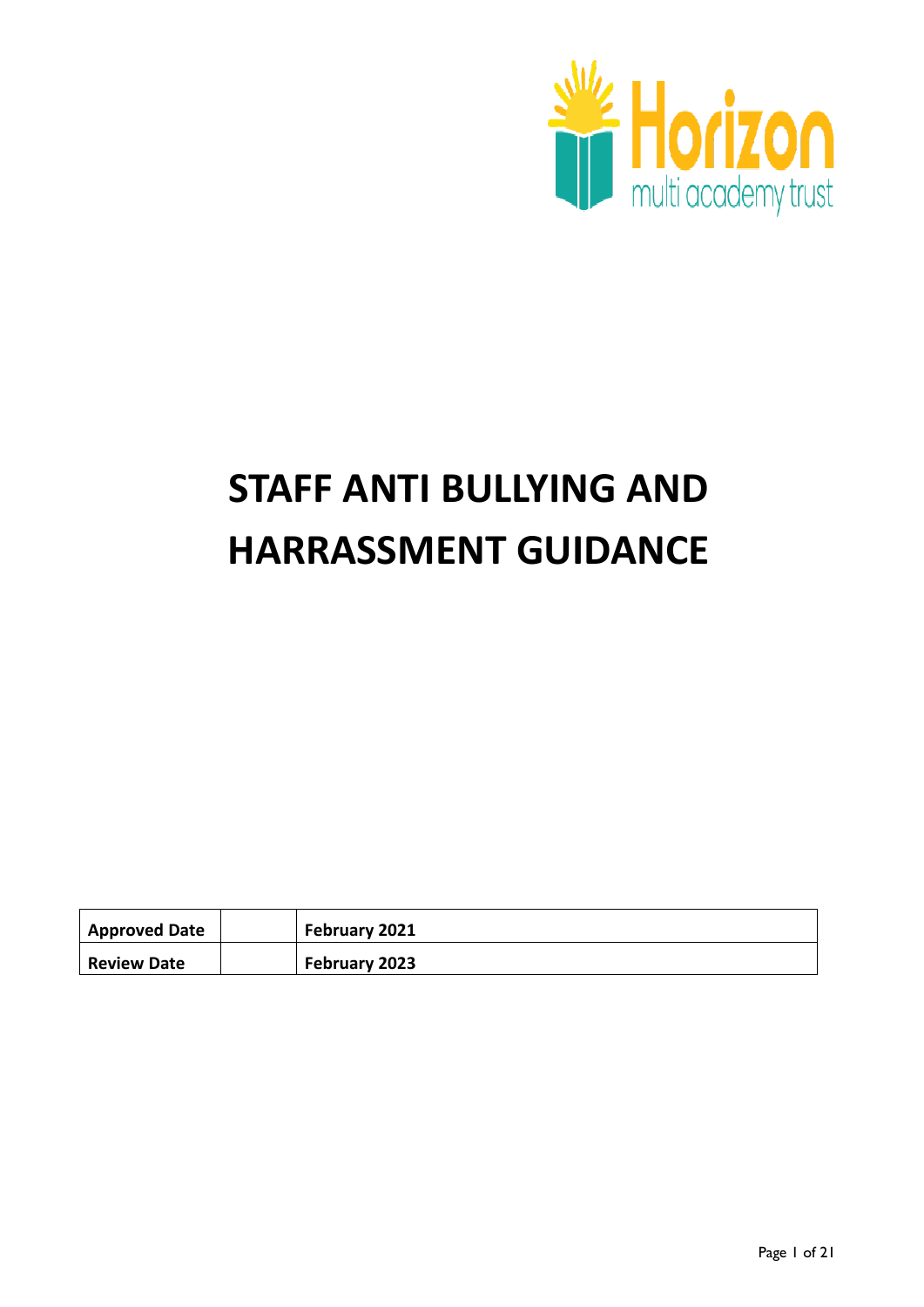

# **STAFF ANTI BULLYING AND HARRASSMENT GUIDANCE**

| <b>Approved Date</b> | February 2021 |
|----------------------|---------------|
| <b>Review Date</b>   | February 2023 |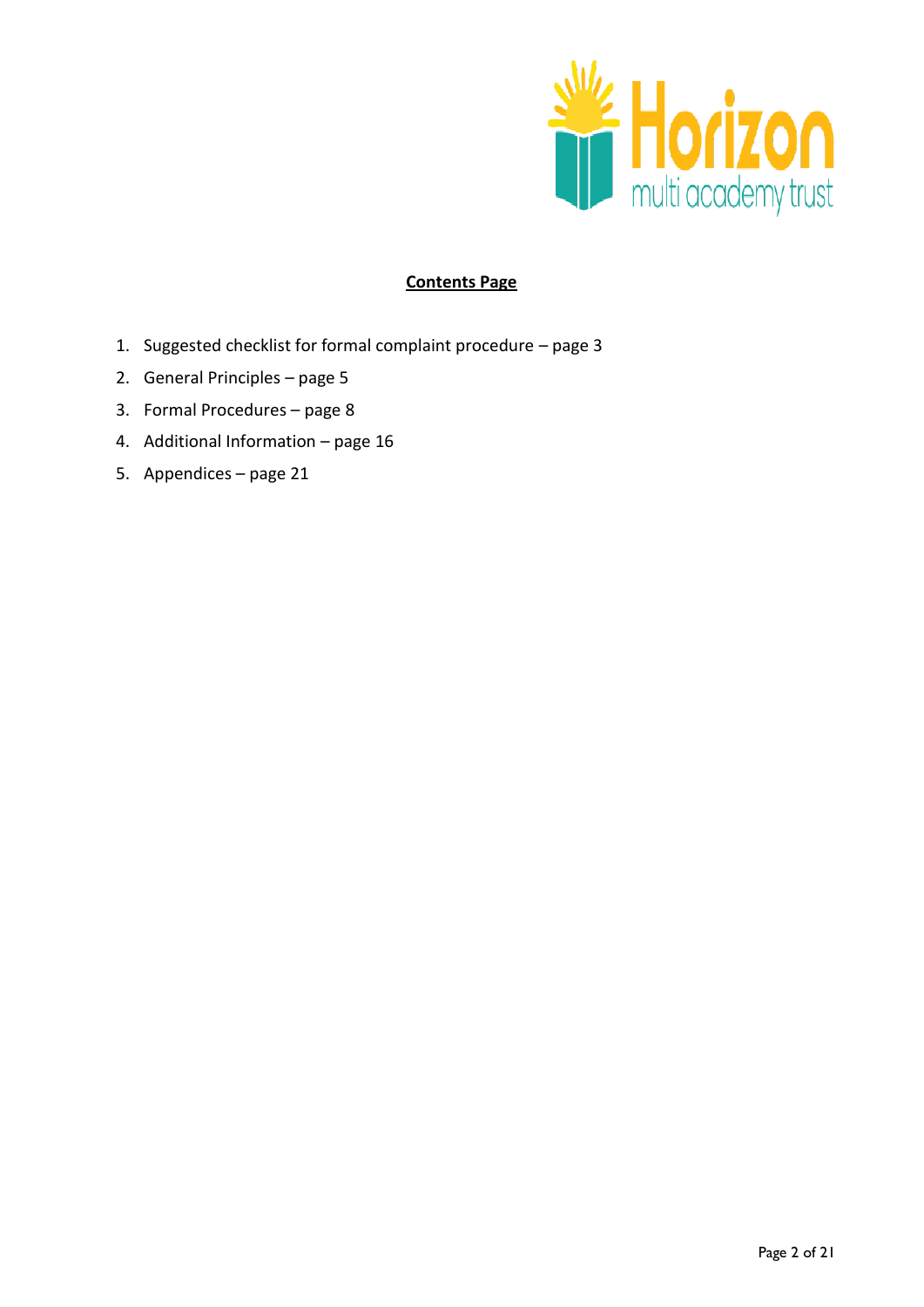

# **Contents Page**

- 1. Suggested checklist for formal complaint procedure page 3
- 2. General Principles page 5
- 3. Formal Procedures page 8
- 4. Additional Information page 16
- 5. Appendices page 21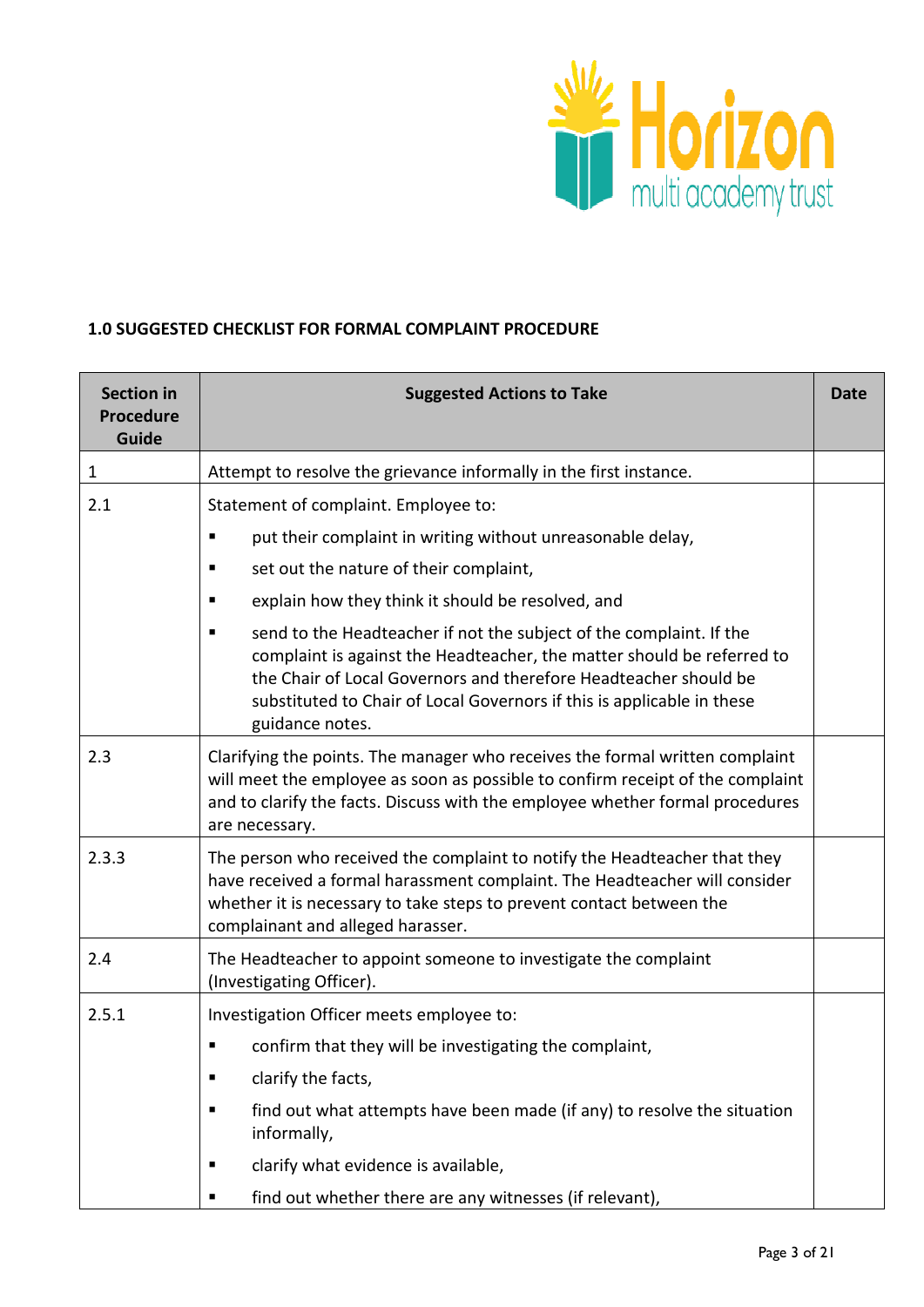

#### **1.0 SUGGESTED CHECKLIST FOR FORMAL COMPLAINT PROCEDURE**

| <b>Section in</b><br><b>Procedure</b><br>Guide | <b>Suggested Actions to Take</b>                                                                                                                                                                                                                                                                                    |  |  |
|------------------------------------------------|---------------------------------------------------------------------------------------------------------------------------------------------------------------------------------------------------------------------------------------------------------------------------------------------------------------------|--|--|
| $\mathbf{1}$                                   | Attempt to resolve the grievance informally in the first instance.                                                                                                                                                                                                                                                  |  |  |
| 2.1                                            | Statement of complaint. Employee to:                                                                                                                                                                                                                                                                                |  |  |
|                                                | put their complaint in writing without unreasonable delay,                                                                                                                                                                                                                                                          |  |  |
|                                                | set out the nature of their complaint,<br>٠                                                                                                                                                                                                                                                                         |  |  |
|                                                | explain how they think it should be resolved, and<br>п                                                                                                                                                                                                                                                              |  |  |
|                                                | send to the Headteacher if not the subject of the complaint. If the<br>ш<br>complaint is against the Headteacher, the matter should be referred to<br>the Chair of Local Governors and therefore Headteacher should be<br>substituted to Chair of Local Governors if this is applicable in these<br>guidance notes. |  |  |
| 2.3                                            | Clarifying the points. The manager who receives the formal written complaint<br>will meet the employee as soon as possible to confirm receipt of the complaint<br>and to clarify the facts. Discuss with the employee whether formal procedures<br>are necessary.                                                   |  |  |
| 2.3.3                                          | The person who received the complaint to notify the Headteacher that they<br>have received a formal harassment complaint. The Headteacher will consider<br>whether it is necessary to take steps to prevent contact between the<br>complainant and alleged harasser.                                                |  |  |
| 2.4                                            | The Headteacher to appoint someone to investigate the complaint<br>(Investigating Officer).                                                                                                                                                                                                                         |  |  |
| 2.5.1                                          | Investigation Officer meets employee to:                                                                                                                                                                                                                                                                            |  |  |
|                                                | confirm that they will be investigating the complaint,<br>٠                                                                                                                                                                                                                                                         |  |  |
|                                                | clarify the facts,<br>п                                                                                                                                                                                                                                                                                             |  |  |
|                                                | find out what attempts have been made (if any) to resolve the situation<br>٠<br>informally,                                                                                                                                                                                                                         |  |  |
|                                                | clarify what evidence is available,<br>ш                                                                                                                                                                                                                                                                            |  |  |
|                                                | find out whether there are any witnesses (if relevant),<br>п                                                                                                                                                                                                                                                        |  |  |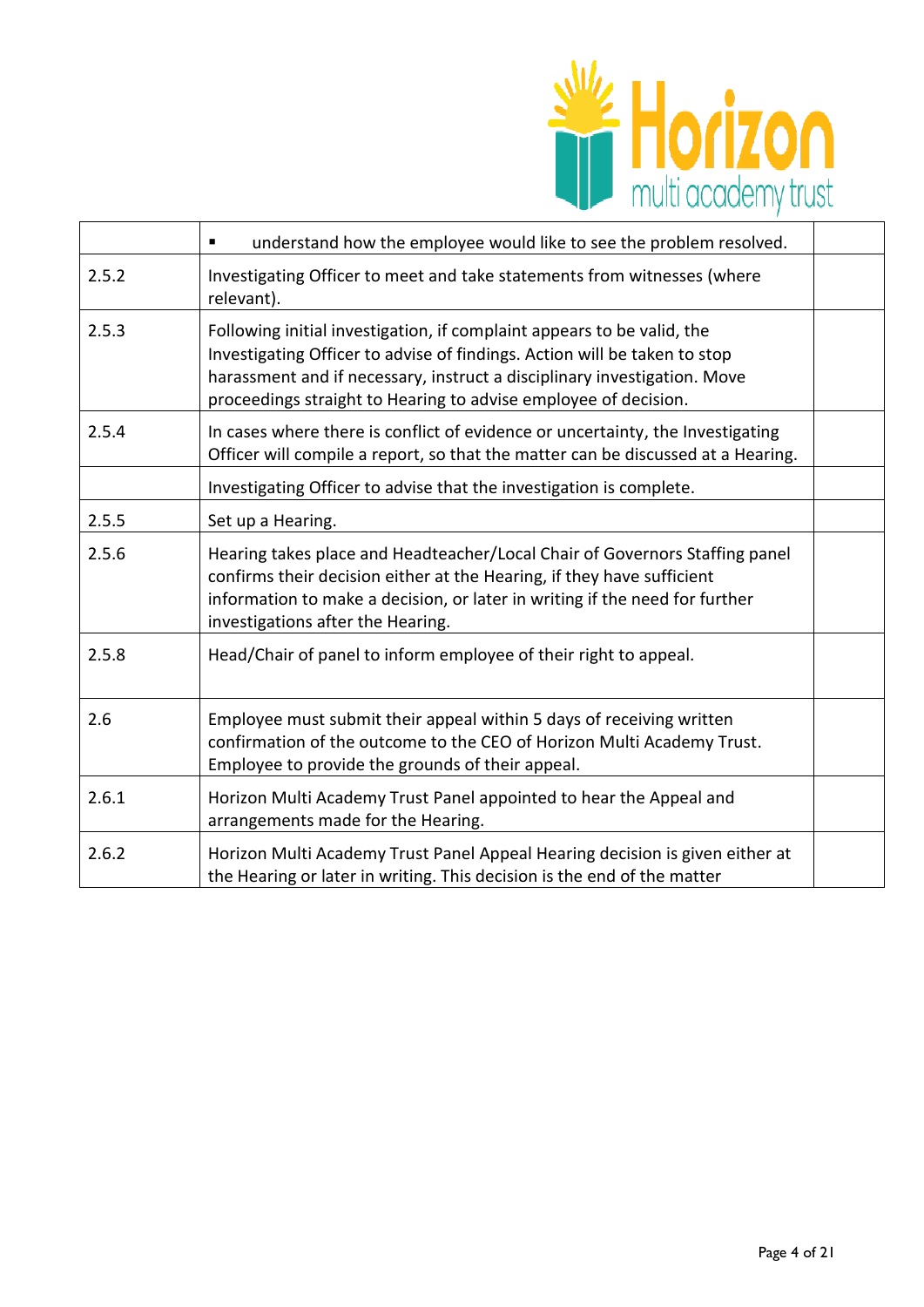

|       | understand how the employee would like to see the problem resolved.<br>٠                                                                                                                                                                                                                           |  |
|-------|----------------------------------------------------------------------------------------------------------------------------------------------------------------------------------------------------------------------------------------------------------------------------------------------------|--|
| 2.5.2 | Investigating Officer to meet and take statements from witnesses (where<br>relevant).                                                                                                                                                                                                              |  |
| 2.5.3 | Following initial investigation, if complaint appears to be valid, the<br>Investigating Officer to advise of findings. Action will be taken to stop<br>harassment and if necessary, instruct a disciplinary investigation. Move<br>proceedings straight to Hearing to advise employee of decision. |  |
| 2.5.4 | In cases where there is conflict of evidence or uncertainty, the Investigating<br>Officer will compile a report, so that the matter can be discussed at a Hearing.                                                                                                                                 |  |
|       | Investigating Officer to advise that the investigation is complete.                                                                                                                                                                                                                                |  |
| 2.5.5 | Set up a Hearing.                                                                                                                                                                                                                                                                                  |  |
| 2.5.6 | Hearing takes place and Headteacher/Local Chair of Governors Staffing panel<br>confirms their decision either at the Hearing, if they have sufficient<br>information to make a decision, or later in writing if the need for further<br>investigations after the Hearing.                          |  |
| 2.5.8 | Head/Chair of panel to inform employee of their right to appeal.                                                                                                                                                                                                                                   |  |
| 2.6   | Employee must submit their appeal within 5 days of receiving written<br>confirmation of the outcome to the CEO of Horizon Multi Academy Trust.<br>Employee to provide the grounds of their appeal.                                                                                                 |  |
| 2.6.1 | Horizon Multi Academy Trust Panel appointed to hear the Appeal and<br>arrangements made for the Hearing.                                                                                                                                                                                           |  |
| 2.6.2 | Horizon Multi Academy Trust Panel Appeal Hearing decision is given either at<br>the Hearing or later in writing. This decision is the end of the matter                                                                                                                                            |  |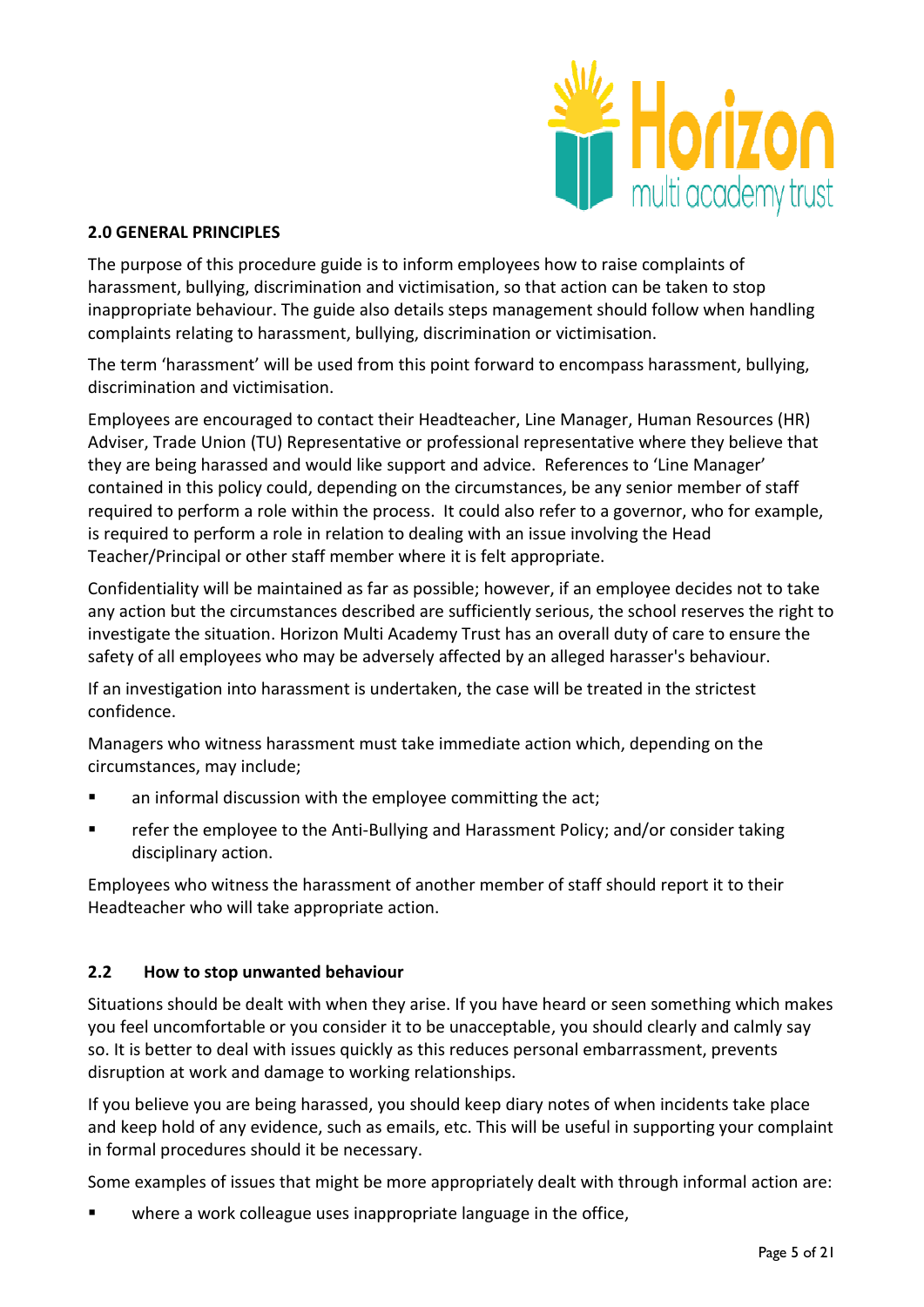

## **2.0 GENERAL PRINCIPLES**

The purpose of this procedure guide is to inform employees how to raise complaints of harassment, bullying, discrimination and victimisation, so that action can be taken to stop inappropriate behaviour. The guide also details steps management should follow when handling complaints relating to harassment, bullying, discrimination or victimisation.

The term 'harassment' will be used from this point forward to encompass harassment, bullying, discrimination and victimisation.

Employees are encouraged to contact their Headteacher, Line Manager, Human Resources (HR) Adviser, Trade Union (TU) Representative or professional representative where they believe that they are being harassed and would like support and advice. References to 'Line Manager' contained in this policy could, depending on the circumstances, be any senior member of staff required to perform a role within the process. It could also refer to a governor, who for example, is required to perform a role in relation to dealing with an issue involving the Head Teacher/Principal or other staff member where it is felt appropriate.

Confidentiality will be maintained as far as possible; however, if an employee decides not to take any action but the circumstances described are sufficiently serious, the school reserves the right to investigate the situation. Horizon Multi Academy Trust has an overall duty of care to ensure the safety of all employees who may be adversely affected by an alleged harasser's behaviour.

If an investigation into harassment is undertaken, the case will be treated in the strictest confidence.

Managers who witness harassment must take immediate action which, depending on the circumstances, may include;

- **EXECT** an informal discussion with the employee committing the act;
- refer the employee to the Anti-Bullying and Harassment Policy; and/or consider taking disciplinary action.

Employees who witness the harassment of another member of staff should report it to their Headteacher who will take appropriate action.

# **2.2 How to stop unwanted behaviour**

Situations should be dealt with when they arise. If you have heard or seen something which makes you feel uncomfortable or you consider it to be unacceptable, you should clearly and calmly say so. It is better to deal with issues quickly as this reduces personal embarrassment, prevents disruption at work and damage to working relationships.

If you believe you are being harassed, you should keep diary notes of when incidents take place and keep hold of any evidence, such as emails, etc. This will be useful in supporting your complaint in formal procedures should it be necessary.

Some examples of issues that might be more appropriately dealt with through informal action are:

where a work colleague uses inappropriate language in the office,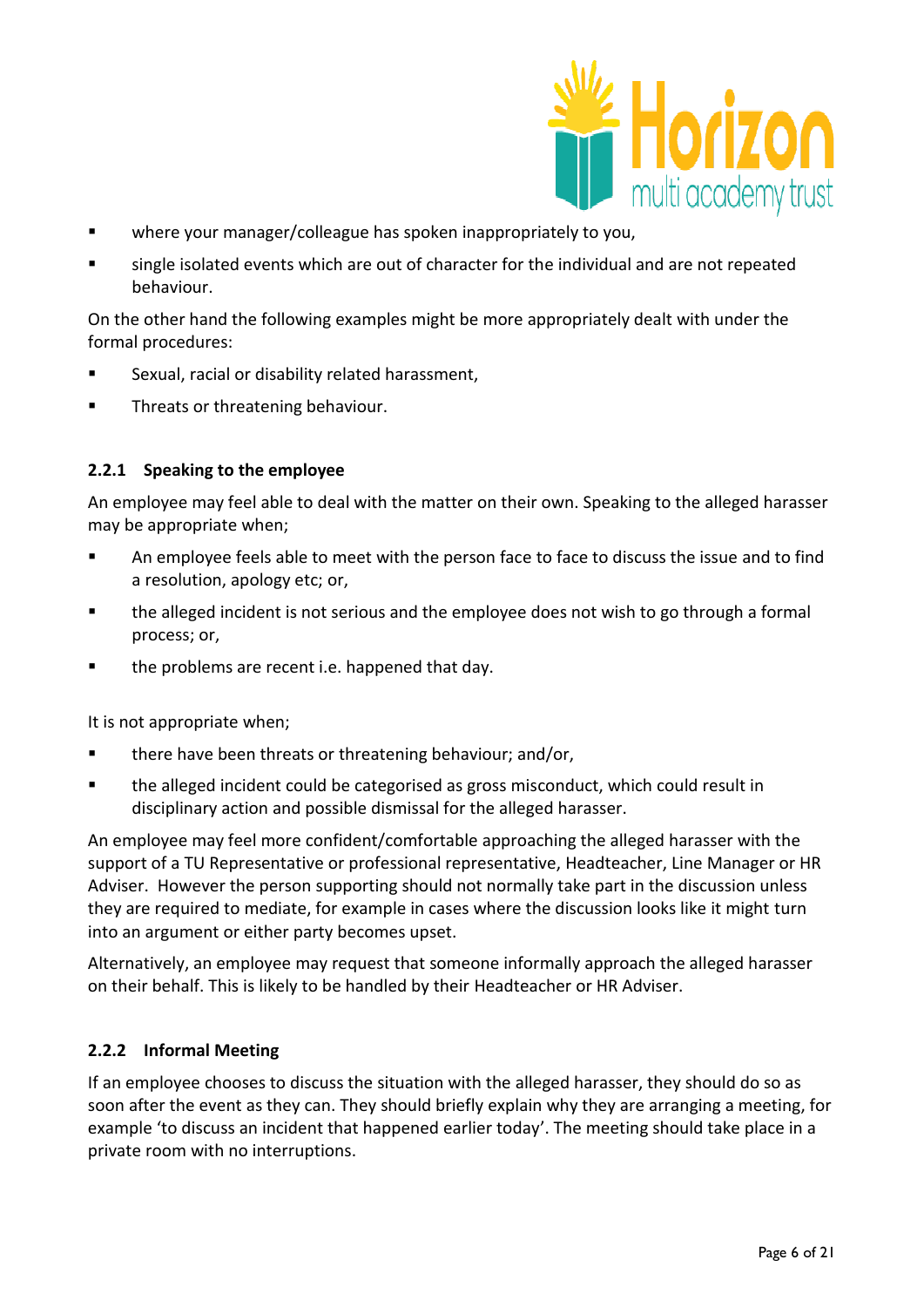

- where your manager/colleague has spoken inappropriately to you,
- single isolated events which are out of character for the individual and are not repeated behaviour.

On the other hand the following examples might be more appropriately dealt with under the formal procedures:

- Sexual, racial or disability related harassment,
- Threats or threatening behaviour.

## **2.2.1 Speaking to the employee**

An employee may feel able to deal with the matter on their own. Speaking to the alleged harasser may be appropriate when;

- An employee feels able to meet with the person face to face to discuss the issue and to find a resolution, apology etc; or,
- the alleged incident is not serious and the employee does not wish to go through a formal process; or,
- the problems are recent i.e. happened that day.

It is not appropriate when;

- there have been threats or threatening behaviour; and/or,
- the alleged incident could be categorised as gross misconduct, which could result in disciplinary action and possible dismissal for the alleged harasser.

An employee may feel more confident/comfortable approaching the alleged harasser with the support of a TU Representative or professional representative, Headteacher, Line Manager or HR Adviser. However the person supporting should not normally take part in the discussion unless they are required to mediate, for example in cases where the discussion looks like it might turn into an argument or either party becomes upset.

Alternatively, an employee may request that someone informally approach the alleged harasser on their behalf. This is likely to be handled by their Headteacher or HR Adviser.

#### **2.2.2 Informal Meeting**

If an employee chooses to discuss the situation with the alleged harasser, they should do so as soon after the event as they can. They should briefly explain why they are arranging a meeting, for example 'to discuss an incident that happened earlier today'. The meeting should take place in a private room with no interruptions.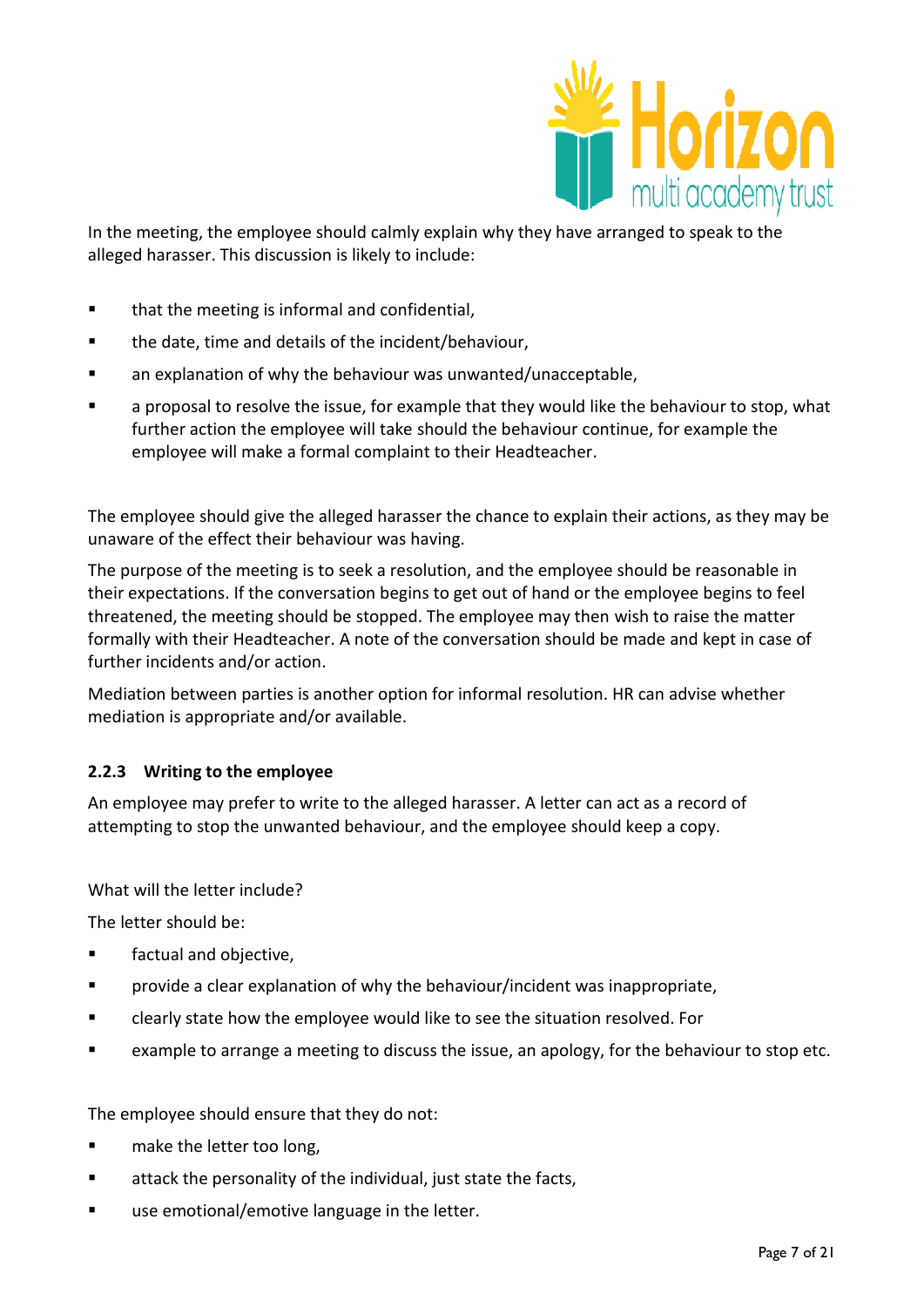

In the meeting, the employee should calmly explain why they have arranged to speak to the alleged harasser. This discussion is likely to include:

- that the meeting is informal and confidential,
- the date, time and details of the incident/behaviour,
- **EXECT** an explanation of why the behaviour was unwanted/unacceptable,
- a proposal to resolve the issue, for example that they would like the behaviour to stop, what further action the employee will take should the behaviour continue, for example the employee will make a formal complaint to their Headteacher.

The employee should give the alleged harasser the chance to explain their actions, as they may be unaware of the effect their behaviour was having.

The purpose of the meeting is to seek a resolution, and the employee should be reasonable in their expectations. If the conversation begins to get out of hand or the employee begins to feel threatened, the meeting should be stopped. The employee may then wish to raise the matter formally with their Headteacher. A note of the conversation should be made and kept in case of further incidents and/or action.

Mediation between parties is another option for informal resolution. HR can advise whether mediation is appropriate and/or available.

#### **2.2.3 Writing to the employee**

An employee may prefer to write to the alleged harasser. A letter can act as a record of attempting to stop the unwanted behaviour, and the employee should keep a copy.

What will the letter include?

The letter should be:

- **EXECUCER** factual and objective,
- provide a clear explanation of why the behaviour/incident was inappropriate,
- clearly state how the employee would like to see the situation resolved. For
- example to arrange a meeting to discuss the issue, an apology, for the behaviour to stop etc.

The employee should ensure that they do not:

- **n** make the letter too long,
- **EXECUTE:** attack the personality of the individual, just state the facts,
- use emotional/emotive language in the letter.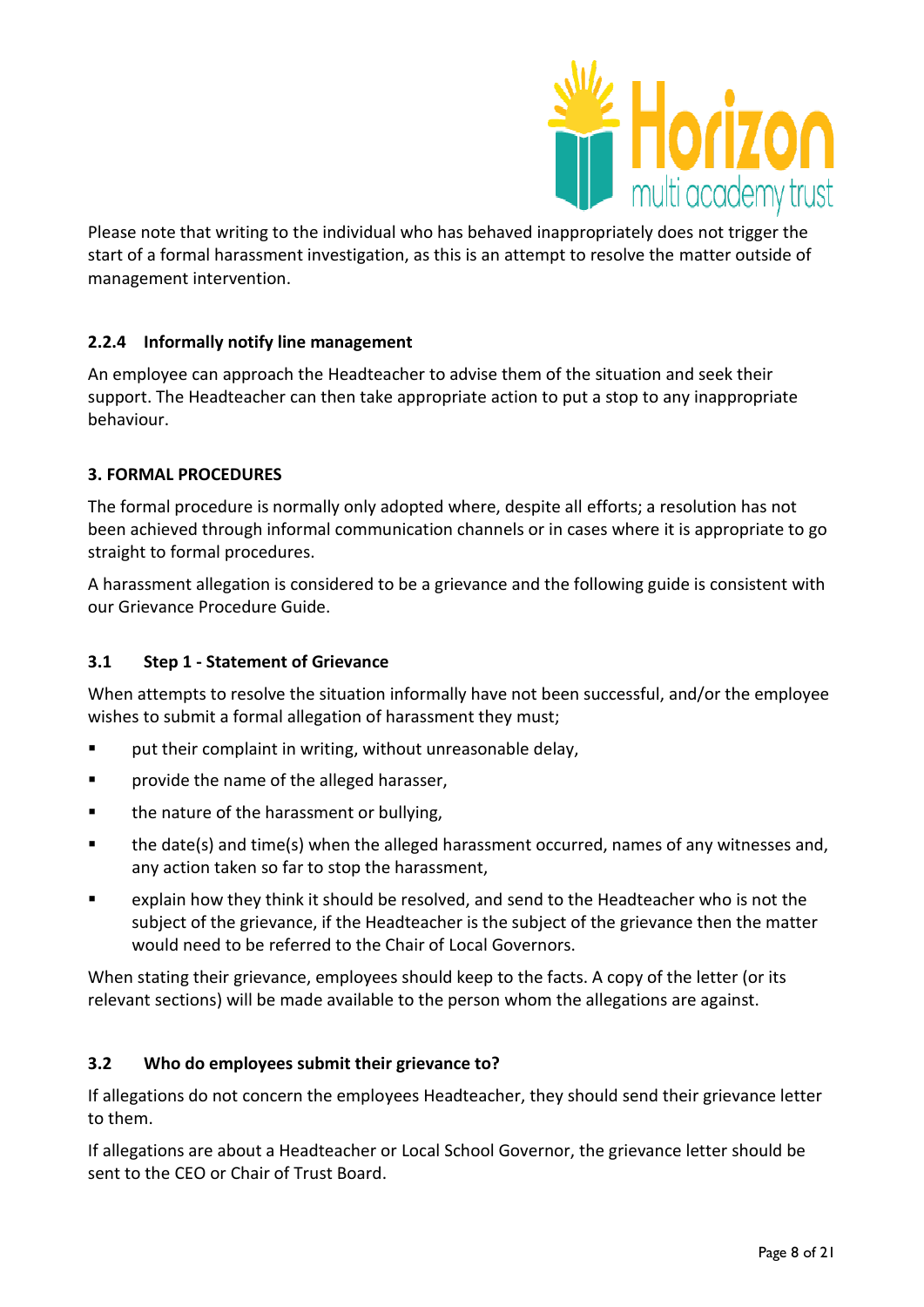

Please note that writing to the individual who has behaved inappropriately does not trigger the start of a formal harassment investigation, as this is an attempt to resolve the matter outside of management intervention.

# **2.2.4 Informally notify line management**

An employee can approach the Headteacher to advise them of the situation and seek their support. The Headteacher can then take appropriate action to put a stop to any inappropriate behaviour.

# **3. FORMAL PROCEDURES**

The formal procedure is normally only adopted where, despite all efforts; a resolution has not been achieved through informal communication channels or in cases where it is appropriate to go straight to formal procedures.

A harassment allegation is considered to be a grievance and the following guide is consistent with our Grievance Procedure Guide.

# **3.1 Step 1 - Statement of Grievance**

When attempts to resolve the situation informally have not been successful, and/or the employee wishes to submit a formal allegation of harassment they must;

- **F** put their complaint in writing, without unreasonable delay,
- **Part Figure 1** provide the name of the alleged harasser,
- **the nature of the harassment or bullying,**
- the date(s) and time(s) when the alleged harassment occurred, names of any witnesses and, any action taken so far to stop the harassment,
- explain how they think it should be resolved, and send to the Headteacher who is not the subject of the grievance, if the Headteacher is the subject of the grievance then the matter would need to be referred to the Chair of Local Governors.

When stating their grievance, employees should keep to the facts. A copy of the letter (or its relevant sections) will be made available to the person whom the allegations are against.

# **3.2 Who do employees submit their grievance to?**

If allegations do not concern the employees Headteacher, they should send their grievance letter to them.

If allegations are about a Headteacher or Local School Governor, the grievance letter should be sent to the CEO or Chair of Trust Board.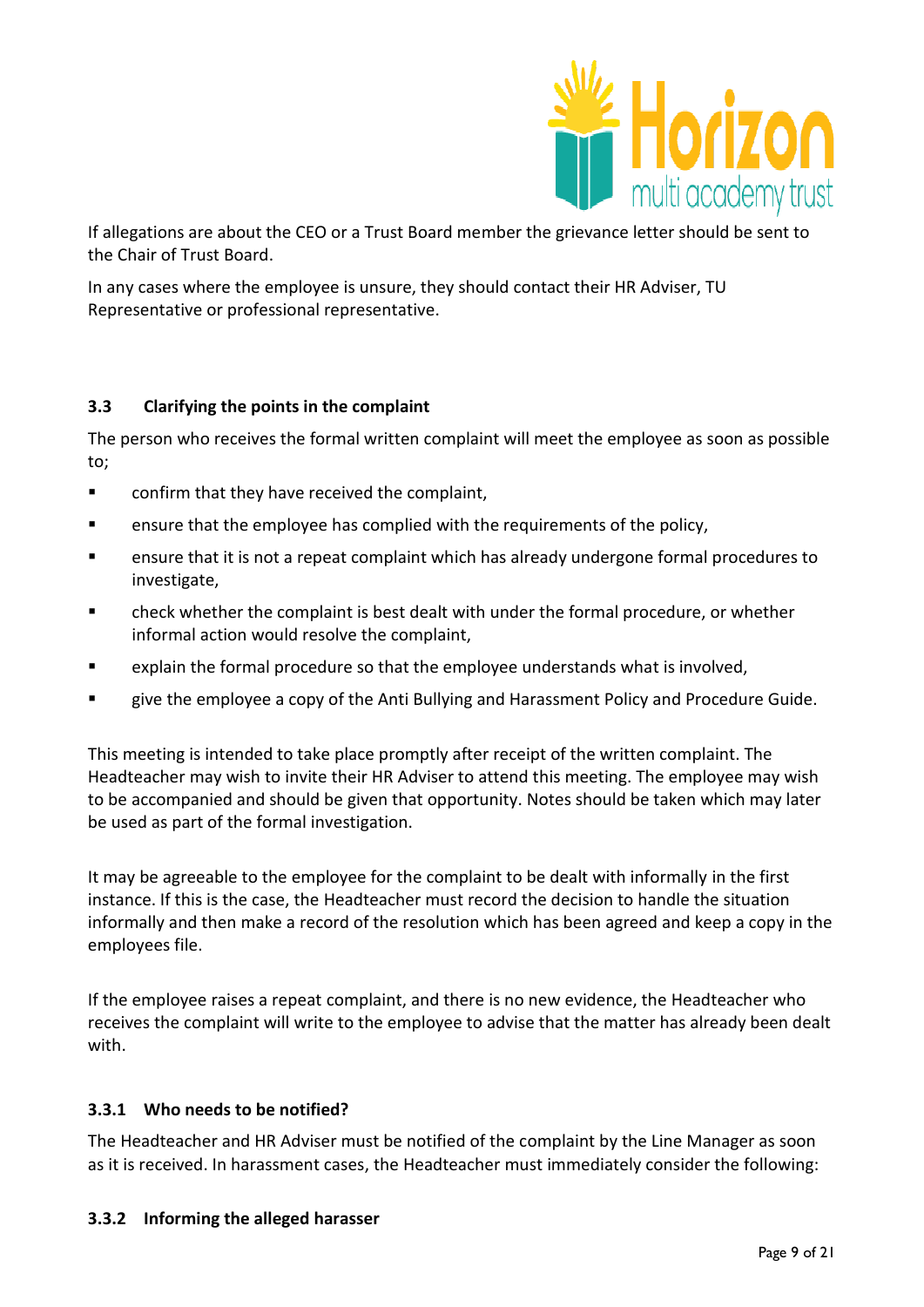

If allegations are about the CEO or a Trust Board member the grievance letter should be sent to the Chair of Trust Board.

In any cases where the employee is unsure, they should contact their HR Adviser, TU Representative or professional representative.

# **3.3 Clarifying the points in the complaint**

The person who receives the formal written complaint will meet the employee as soon as possible to;

- **EXECONFILLER** confirm that they have received the complaint,
- **E** ensure that the employee has complied with the requirements of the policy,
- ensure that it is not a repeat complaint which has already undergone formal procedures to investigate,
- check whether the complaint is best dealt with under the formal procedure, or whether informal action would resolve the complaint,
- explain the formal procedure so that the employee understands what is involved,
- give the employee a copy of the Anti Bullying and Harassment Policy and Procedure Guide.

This meeting is intended to take place promptly after receipt of the written complaint. The Headteacher may wish to invite their HR Adviser to attend this meeting. The employee may wish to be accompanied and should be given that opportunity. Notes should be taken which may later be used as part of the formal investigation.

It may be agreeable to the employee for the complaint to be dealt with informally in the first instance. If this is the case, the Headteacher must record the decision to handle the situation informally and then make a record of the resolution which has been agreed and keep a copy in the employees file.

If the employee raises a repeat complaint, and there is no new evidence, the Headteacher who receives the complaint will write to the employee to advise that the matter has already been dealt with.

#### **3.3.1 Who needs to be notified?**

The Headteacher and HR Adviser must be notified of the complaint by the Line Manager as soon as it is received. In harassment cases, the Headteacher must immediately consider the following:

#### **3.3.2 Informing the alleged harasser**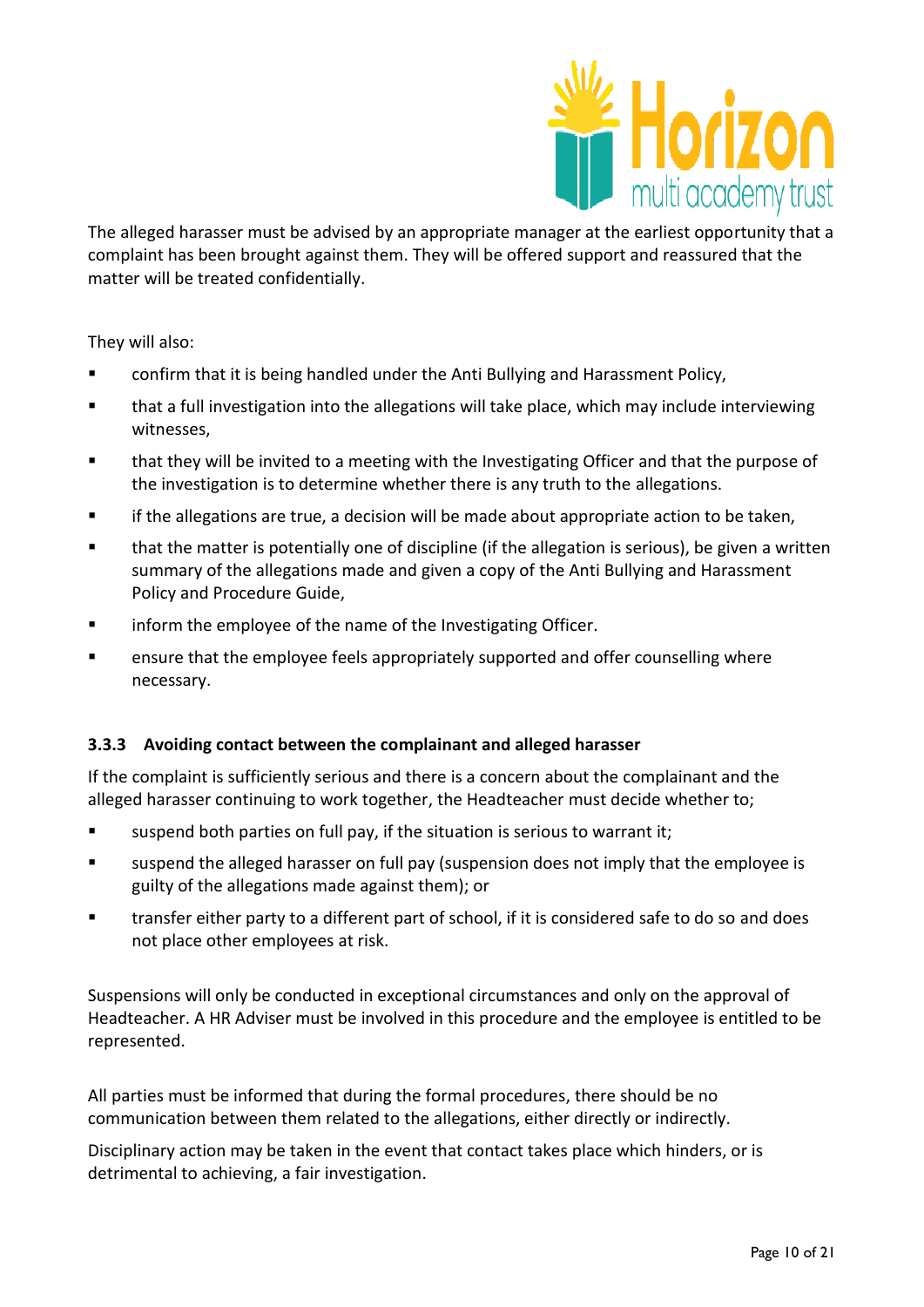

The alleged harasser must be advised by an appropriate manager at the earliest opportunity that a complaint has been brought against them. They will be offered support and reassured that the matter will be treated confidentially.

They will also:

- confirm that it is being handled under the Anti Bullying and Harassment Policy,
- that a full investigation into the allegations will take place, which may include interviewing witnesses,
- that they will be invited to a meeting with the Investigating Officer and that the purpose of the investigation is to determine whether there is any truth to the allegations.
- **Fall if the allegations are true, a decision will be made about appropriate action to be taken,**
- that the matter is potentially one of discipline (if the allegation is serious), be given a written summary of the allegations made and given a copy of the Anti Bullying and Harassment Policy and Procedure Guide,
- **Inform the employee of the name of the Investigating Officer.**
- ensure that the employee feels appropriately supported and offer counselling where necessary.

#### **3.3.3 Avoiding contact between the complainant and alleged harasser**

If the complaint is sufficiently serious and there is a concern about the complainant and the alleged harasser continuing to work together, the Headteacher must decide whether to;

- suspend both parties on full pay, if the situation is serious to warrant it;
- suspend the alleged harasser on full pay (suspension does not imply that the employee is guilty of the allegations made against them); or
- **there** transfer either party to a different part of school, if it is considered safe to do so and does not place other employees at risk.

Suspensions will only be conducted in exceptional circumstances and only on the approval of Headteacher. A HR Adviser must be involved in this procedure and the employee is entitled to be represented.

All parties must be informed that during the formal procedures, there should be no communication between them related to the allegations, either directly or indirectly.

Disciplinary action may be taken in the event that contact takes place which hinders, or is detrimental to achieving, a fair investigation.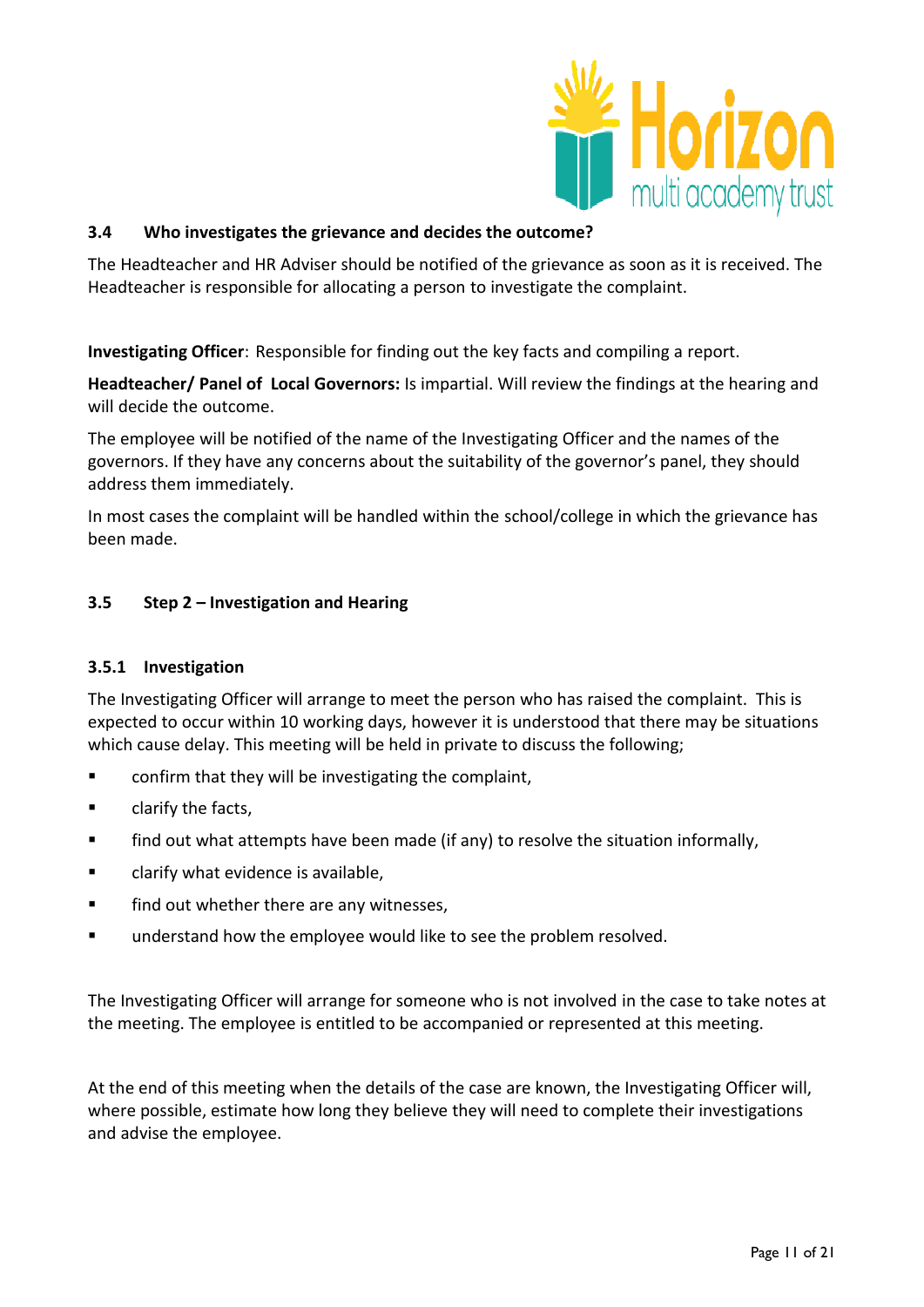

## **3.4 Who investigates the grievance and decides the outcome?**

The Headteacher and HR Adviser should be notified of the grievance as soon as it is received. The Headteacher is responsible for allocating a person to investigate the complaint.

**Investigating Officer**: Responsible for finding out the key facts and compiling a report.

**Headteacher/ Panel of Local Governors:** Is impartial. Will review the findings at the hearing and will decide the outcome.

The employee will be notified of the name of the Investigating Officer and the names of the governors. If they have any concerns about the suitability of the governor's panel, they should address them immediately.

In most cases the complaint will be handled within the school/college in which the grievance has been made.

## **3.5 Step 2 – Investigation and Hearing**

#### **3.5.1 Investigation**

The Investigating Officer will arrange to meet the person who has raised the complaint. This is expected to occur within 10 working days, however it is understood that there may be situations which cause delay. This meeting will be held in private to discuss the following;

- **EXECONFIRE 1** confirm that they will be investigating the complaint,
- **E** clarify the facts,
- **find out what attempts have been made (if any) to resolve the situation informally,**
- **EXEC** clarify what evidence is available,
- **Find out whether there are any witnesses,**
- **understand how the employee would like to see the problem resolved.**

The Investigating Officer will arrange for someone who is not involved in the case to take notes at the meeting. The employee is entitled to be accompanied or represented at this meeting.

At the end of this meeting when the details of the case are known, the Investigating Officer will, where possible, estimate how long they believe they will need to complete their investigations and advise the employee.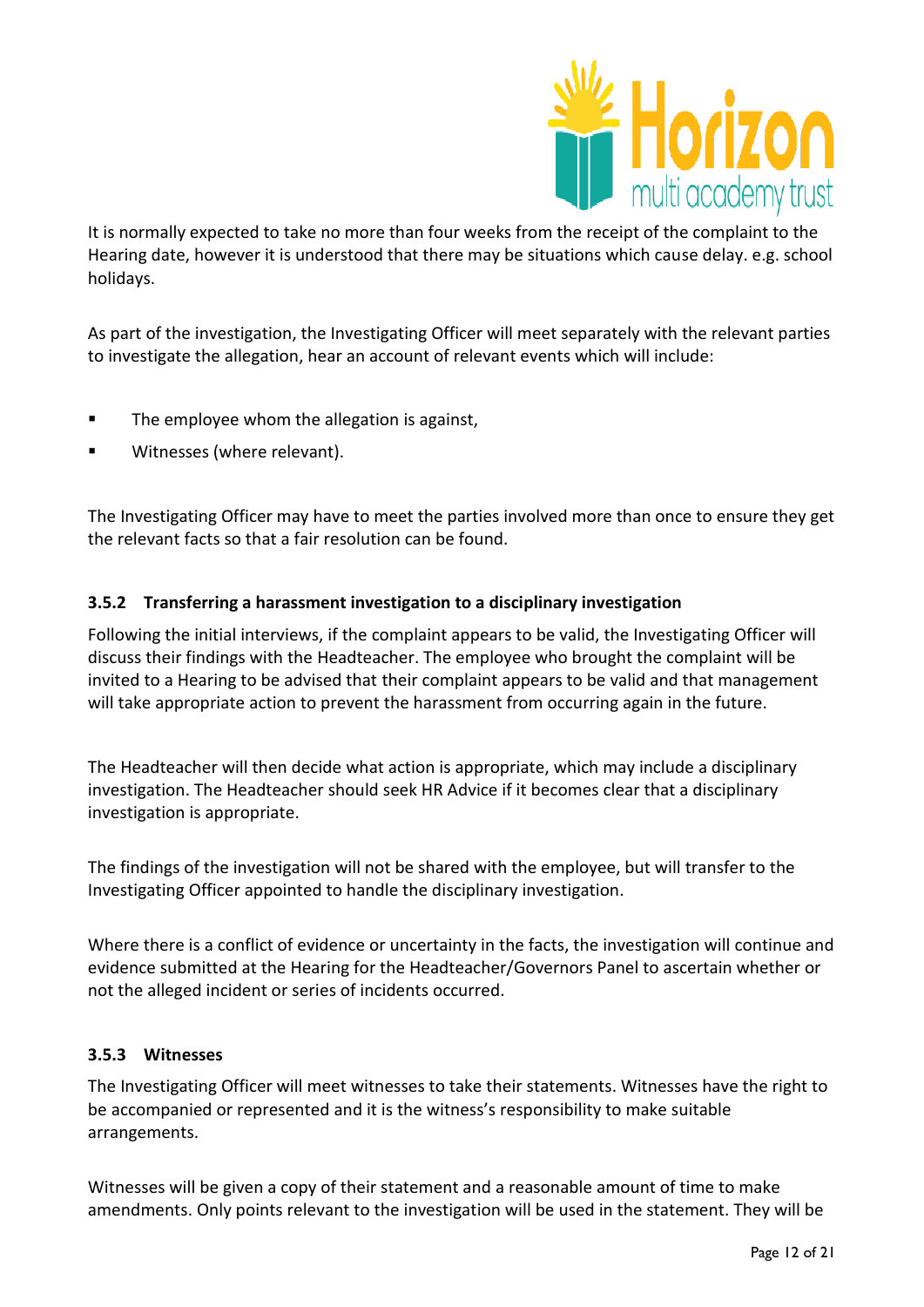

It is normally expected to take no more than four weeks from the receipt of the complaint to the Hearing date, however it is understood that there may be situations which cause delay. e.g. school holidays.

As part of the investigation, the Investigating Officer will meet separately with the relevant parties to investigate the allegation, hear an account of relevant events which will include:

- **The employee whom the allegation is against,**
- **Witnesses (where relevant).**

The Investigating Officer may have to meet the parties involved more than once to ensure they get the relevant facts so that a fair resolution can be found.

## **3.5.2 Transferring a harassment investigation to a disciplinary investigation**

Following the initial interviews, if the complaint appears to be valid, the Investigating Officer will discuss their findings with the Headteacher. The employee who brought the complaint will be invited to a Hearing to be advised that their complaint appears to be valid and that management will take appropriate action to prevent the harassment from occurring again in the future.

The Headteacher will then decide what action is appropriate, which may include a disciplinary investigation. The Headteacher should seek HR Advice if it becomes clear that a disciplinary investigation is appropriate.

The findings of the investigation will not be shared with the employee, but will transfer to the Investigating Officer appointed to handle the disciplinary investigation.

Where there is a conflict of evidence or uncertainty in the facts, the investigation will continue and evidence submitted at the Hearing for the Headteacher/Governors Panel to ascertain whether or not the alleged incident or series of incidents occurred.

#### **3.5.3 Witnesses**

The Investigating Officer will meet witnesses to take their statements. Witnesses have the right to be accompanied or represented and it is the witness's responsibility to make suitable arrangements.

Witnesses will be given a copy of their statement and a reasonable amount of time to make amendments. Only points relevant to the investigation will be used in the statement. They will be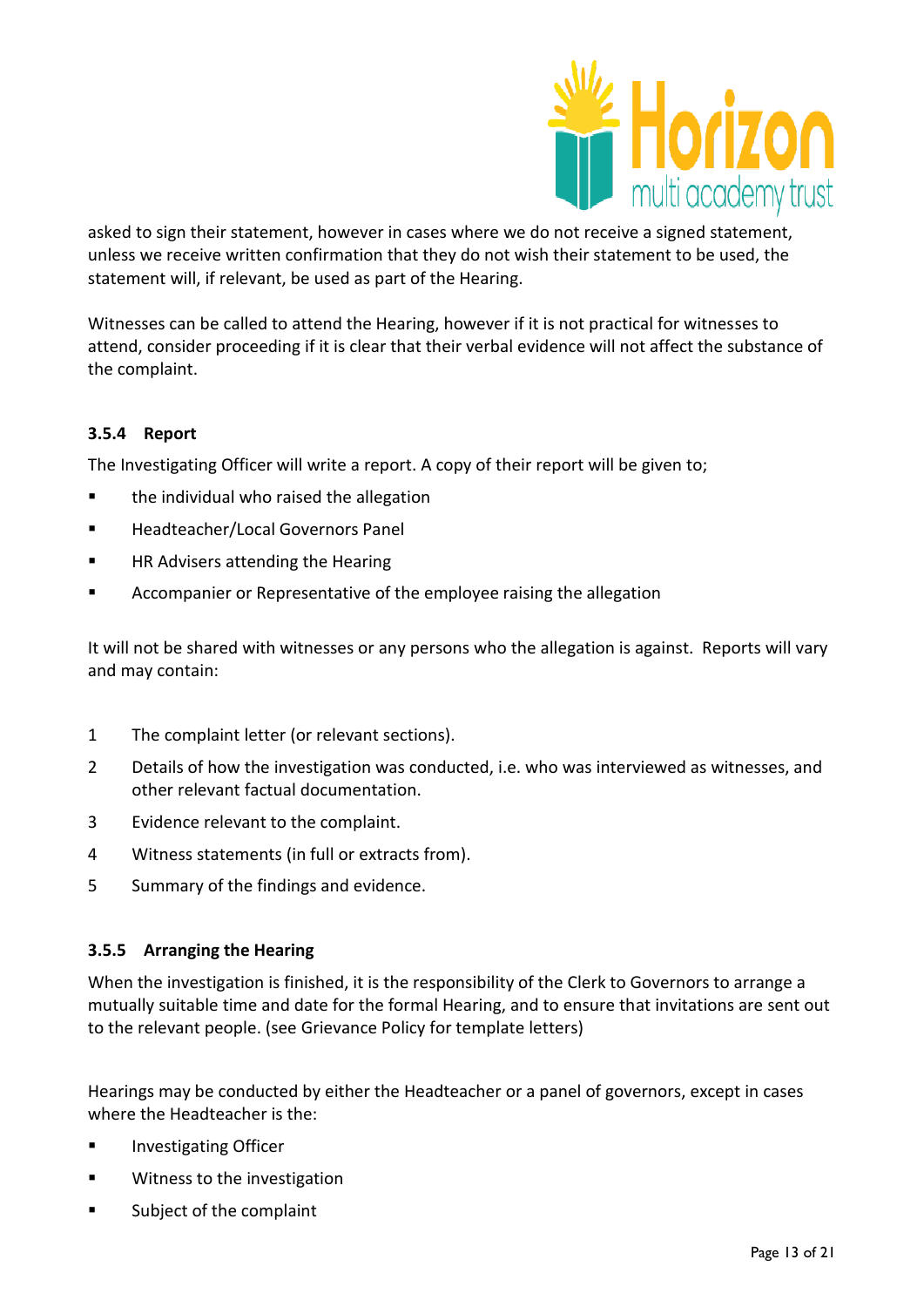

asked to sign their statement, however in cases where we do not receive a signed statement, unless we receive written confirmation that they do not wish their statement to be used, the statement will, if relevant, be used as part of the Hearing.

Witnesses can be called to attend the Hearing, however if it is not practical for witnesses to attend, consider proceeding if it is clear that their verbal evidence will not affect the substance of the complaint.

# **3.5.4 Report**

The Investigating Officer will write a report. A copy of their report will be given to;

- **the individual who raised the allegation**
- **Headteacher/Local Governors Panel**
- **EXECUTE:** HR Advisers attending the Hearing
- **EXEDENT** Accompanier or Representative of the employee raising the allegation

It will not be shared with witnesses or any persons who the allegation is against. Reports will vary and may contain:

- 1 The complaint letter (or relevant sections).
- 2 Details of how the investigation was conducted, i.e. who was interviewed as witnesses, and other relevant factual documentation.
- 3 Evidence relevant to the complaint.
- 4 Witness statements (in full or extracts from).
- 5 Summary of the findings and evidence.

#### **3.5.5 Arranging the Hearing**

When the investigation is finished, it is the responsibility of the Clerk to Governors to arrange a mutually suitable time and date for the formal Hearing, and to ensure that invitations are sent out to the relevant people. (see Grievance Policy for template letters)

Hearings may be conducted by either the Headteacher or a panel of governors, except in cases where the Headteacher is the:

- **Investigating Officer**
- **Witness to the investigation**
- **EXECUTE:** Subject of the complaint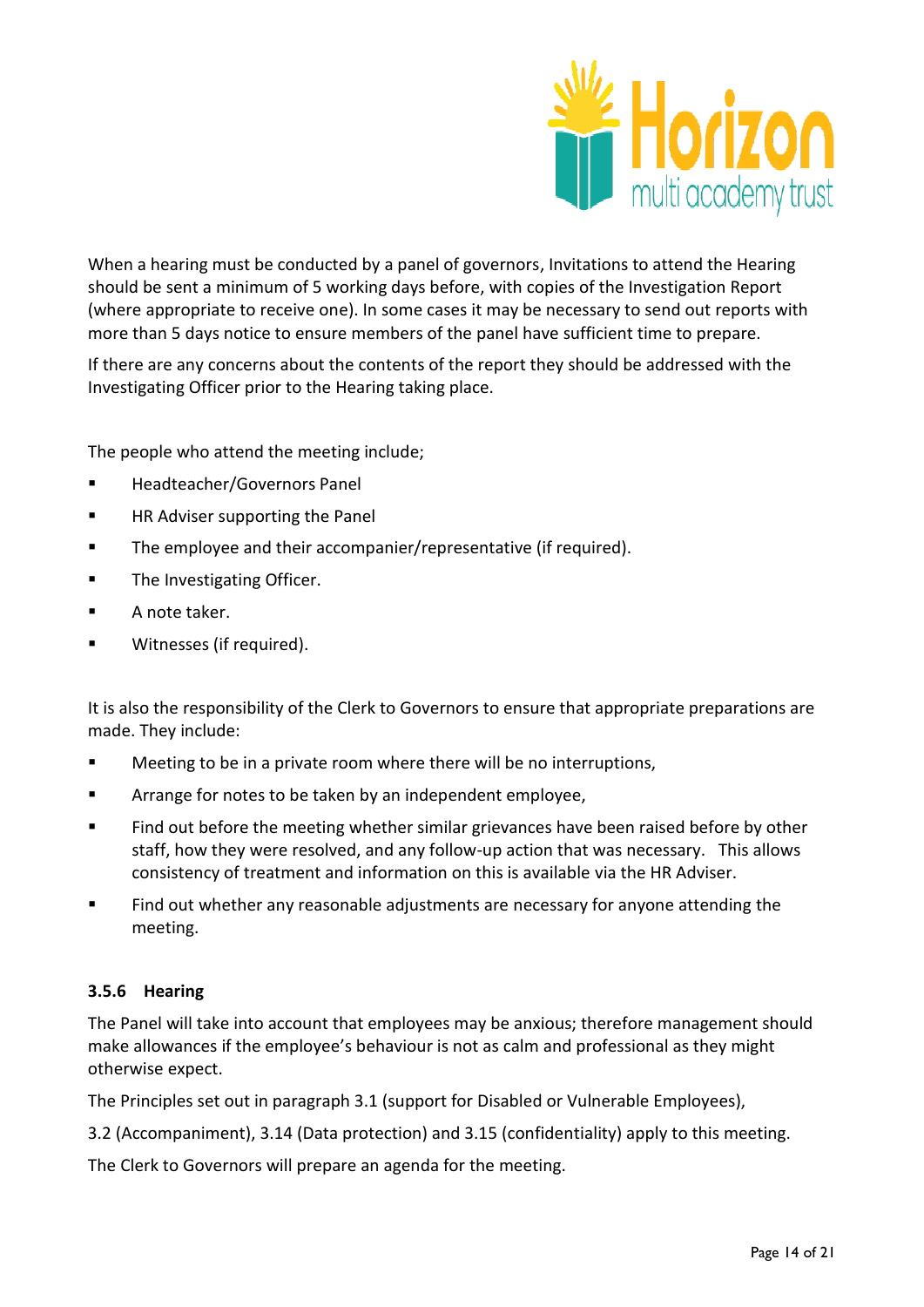

When a hearing must be conducted by a panel of governors, Invitations to attend the Hearing should be sent a minimum of 5 working days before, with copies of the Investigation Report (where appropriate to receive one). In some cases it may be necessary to send out reports with more than 5 days notice to ensure members of the panel have sufficient time to prepare.

If there are any concerns about the contents of the report they should be addressed with the Investigating Officer prior to the Hearing taking place.

The people who attend the meeting include;

- **Headteacher/Governors Panel**
- **HR Adviser supporting the Panel**
- **The employee and their accompanier/representative (if required).**
- **The Investigating Officer.**
- **A** note taker.
- **Witnesses (if required).**

It is also the responsibility of the Clerk to Governors to ensure that appropriate preparations are made. They include:

- **EXECT** Meeting to be in a private room where there will be no interruptions,
- **EXEDEE FORM** Arrange for notes to be taken by an independent employee,
- **Find out before the meeting whether similar grievances have been raised before by other** staff, how they were resolved, and any follow-up action that was necessary. This allows consistency of treatment and information on this is available via the HR Adviser.
- **Find out whether any reasonable adjustments are necessary for anyone attending the** meeting.

# **3.5.6 Hearing**

The Panel will take into account that employees may be anxious; therefore management should make allowances if the employee's behaviour is not as calm and professional as they might otherwise expect.

The Principles set out in paragraph 3.1 (support for Disabled or Vulnerable Employees),

3.2 (Accompaniment), 3.14 (Data protection) and 3.15 (confidentiality) apply to this meeting.

The Clerk to Governors will prepare an agenda for the meeting.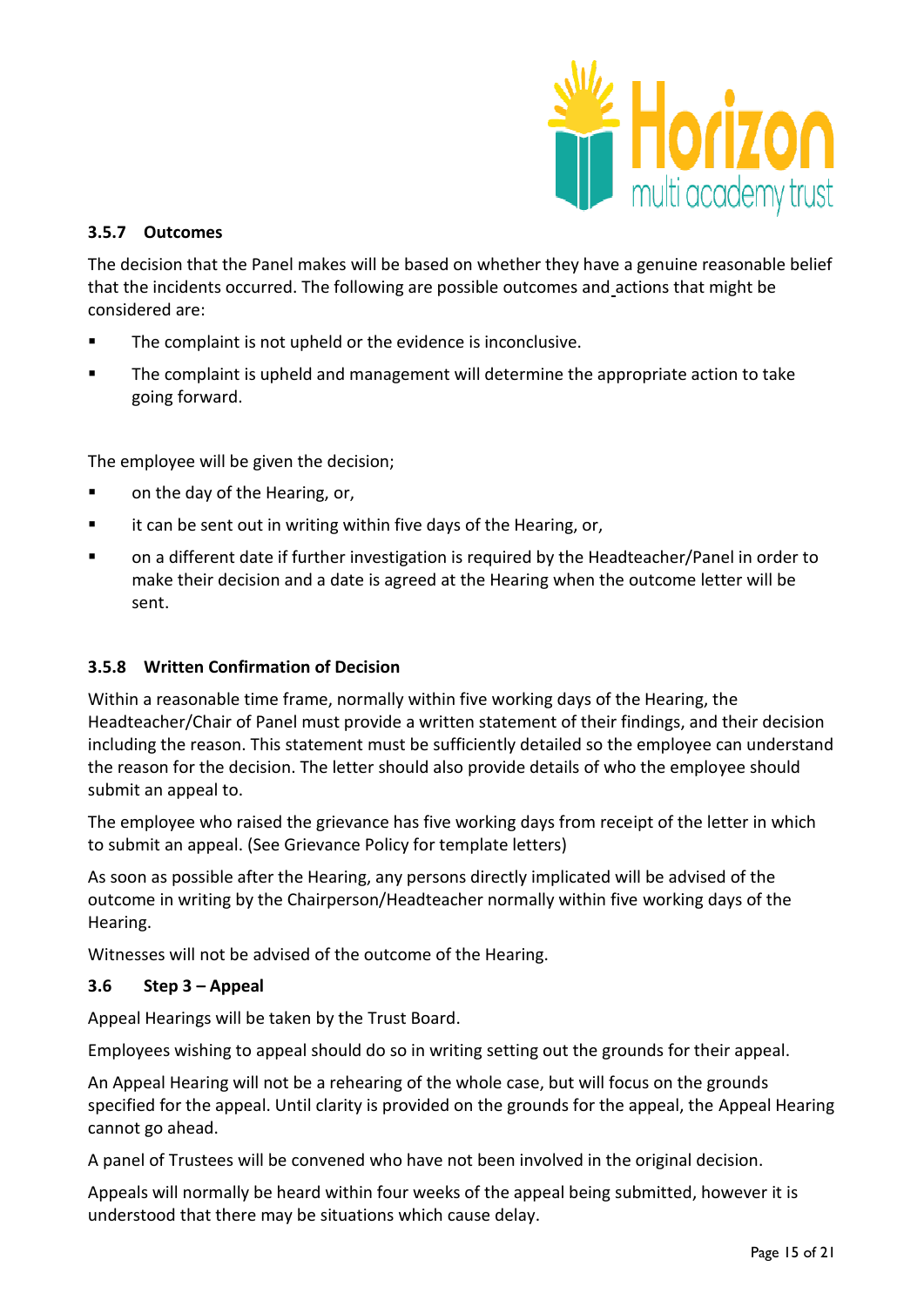

## **3.5.7 Outcomes**

The decision that the Panel makes will be based on whether they have a genuine reasonable belief that the incidents occurred. The following are possible outcomes and actions that might be considered are:

- **The complaint is not upheld or the evidence is inconclusive.**
- **The complaint is upheld and management will determine the appropriate action to take** going forward.

The employee will be given the decision;

- on the day of the Hearing, or,
- **Example 1** it can be sent out in writing within five days of the Hearing, or,
- on a different date if further investigation is required by the Headteacher/Panel in order to make their decision and a date is agreed at the Hearing when the outcome letter will be sent.

# **3.5.8 Written Confirmation of Decision**

Within a reasonable time frame, normally within five working days of the Hearing, the Headteacher/Chair of Panel must provide a written statement of their findings, and their decision including the reason. This statement must be sufficiently detailed so the employee can understand the reason for the decision. The letter should also provide details of who the employee should submit an appeal to.

The employee who raised the grievance has five working days from receipt of the letter in which to submit an appeal. (See Grievance Policy for template letters)

As soon as possible after the Hearing, any persons directly implicated will be advised of the outcome in writing by the Chairperson/Headteacher normally within five working days of the Hearing.

Witnesses will not be advised of the outcome of the Hearing.

#### **3.6 Step 3 – Appeal**

Appeal Hearings will be taken by the Trust Board.

Employees wishing to appeal should do so in writing setting out the grounds for their appeal.

An Appeal Hearing will not be a rehearing of the whole case, but will focus on the grounds specified for the appeal. Until clarity is provided on the grounds for the appeal, the Appeal Hearing cannot go ahead.

A panel of Trustees will be convened who have not been involved in the original decision.

Appeals will normally be heard within four weeks of the appeal being submitted, however it is understood that there may be situations which cause delay.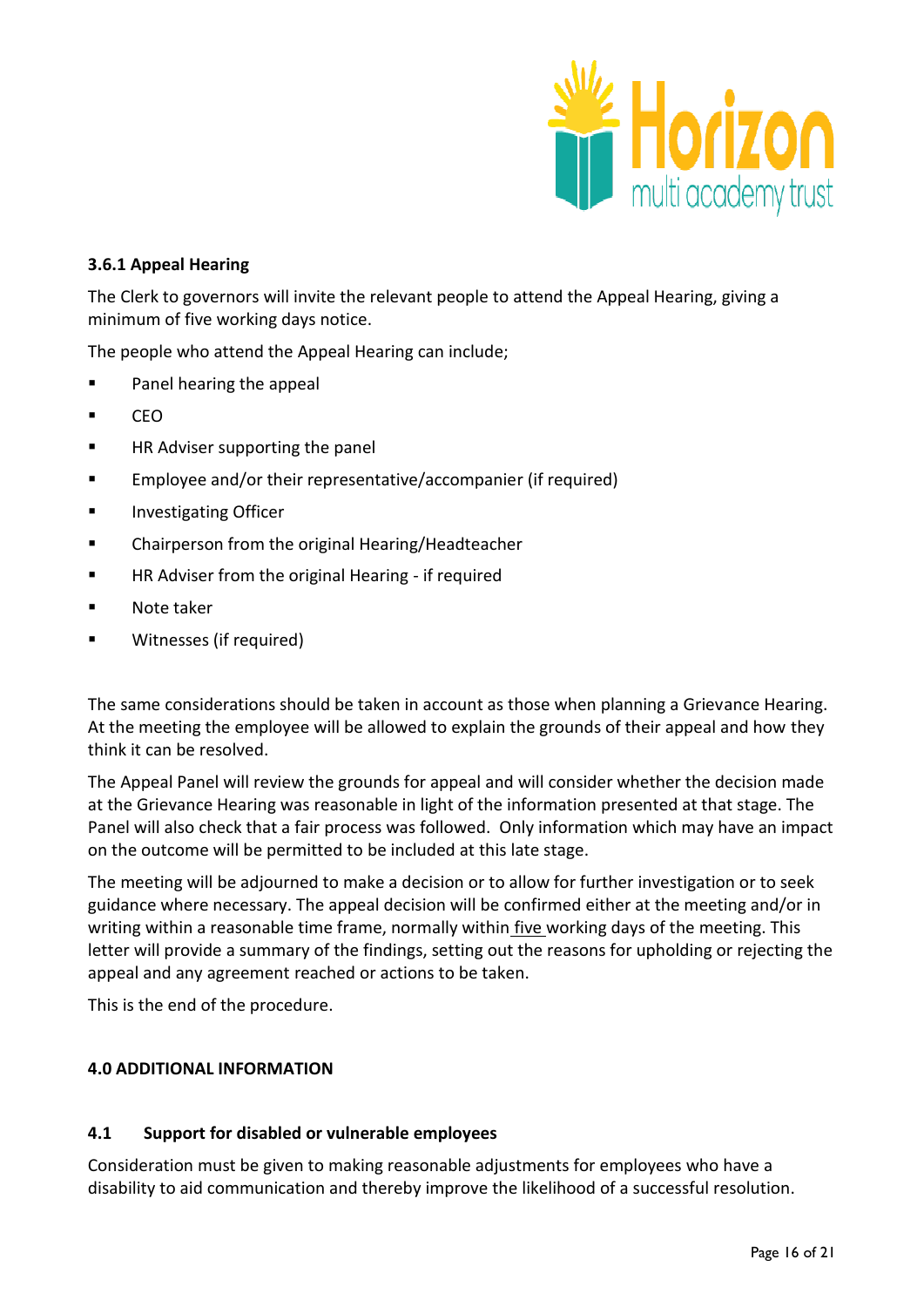

## **3.6.1 Appeal Hearing**

The Clerk to governors will invite the relevant people to attend the Appeal Hearing, giving a minimum of five working days notice.

The people who attend the Appeal Hearing can include;

- **Panel hearing the appeal**
- $CFO$
- **HR Adviser supporting the panel**
- Employee and/or their representative/accompanier (if required)
- **Investigating Officer**
- **EXECH** Chairperson from the original Hearing/Headteacher
- **Fall HR Adviser from the original Hearing if required**
- Note taker
- **Witnesses (if required)**

The same considerations should be taken in account as those when planning a Grievance Hearing. At the meeting the employee will be allowed to explain the grounds of their appeal and how they think it can be resolved.

The Appeal Panel will review the grounds for appeal and will consider whether the decision made at the Grievance Hearing was reasonable in light of the information presented at that stage. The Panel will also check that a fair process was followed. Only information which may have an impact on the outcome will be permitted to be included at this late stage.

The meeting will be adjourned to make a decision or to allow for further investigation or to seek guidance where necessary. The appeal decision will be confirmed either at the meeting and/or in writing within a reasonable time frame, normally within five working days of the meeting. This letter will provide a summary of the findings, setting out the reasons for upholding or rejecting the appeal and any agreement reached or actions to be taken.

This is the end of the procedure.

#### **4.0 ADDITIONAL INFORMATION**

#### **4.1 Support for disabled or vulnerable employees**

Consideration must be given to making reasonable adjustments for employees who have a disability to aid communication and thereby improve the likelihood of a successful resolution.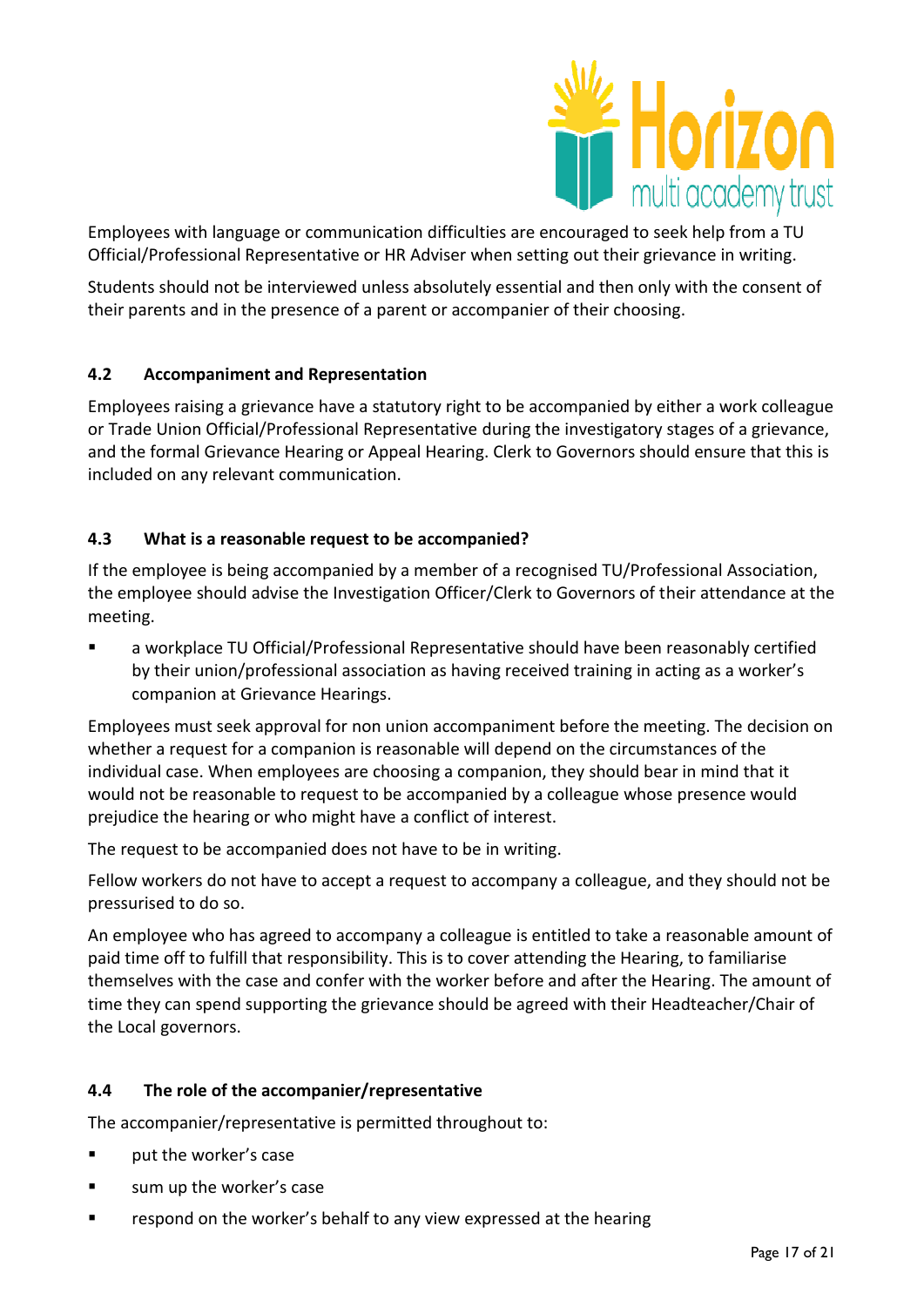

Employees with language or communication difficulties are encouraged to seek help from a TU Official/Professional Representative or HR Adviser when setting out their grievance in writing.

Students should not be interviewed unless absolutely essential and then only with the consent of their parents and in the presence of a parent or accompanier of their choosing.

# **4.2 Accompaniment and Representation**

Employees raising a grievance have a statutory right to be accompanied by either a work colleague or Trade Union Official/Professional Representative during the investigatory stages of a grievance, and the formal Grievance Hearing or Appeal Hearing. Clerk to Governors should ensure that this is included on any relevant communication.

# **4.3 What is a reasonable request to be accompanied?**

If the employee is being accompanied by a member of a recognised TU/Professional Association, the employee should advise the Investigation Officer/Clerk to Governors of their attendance at the meeting.

 a workplace TU Official/Professional Representative should have been reasonably certified by their union/professional association as having received training in acting as a worker's companion at Grievance Hearings.

Employees must seek approval for non union accompaniment before the meeting. The decision on whether a request for a companion is reasonable will depend on the circumstances of the individual case. When employees are choosing a companion, they should bear in mind that it would not be reasonable to request to be accompanied by a colleague whose presence would prejudice the hearing or who might have a conflict of interest.

The request to be accompanied does not have to be in writing.

Fellow workers do not have to accept a request to accompany a colleague, and they should not be pressurised to do so.

An employee who has agreed to accompany a colleague is entitled to take a reasonable amount of paid time off to fulfill that responsibility. This is to cover attending the Hearing, to familiarise themselves with the case and confer with the worker before and after the Hearing. The amount of time they can spend supporting the grievance should be agreed with their Headteacher/Chair of the Local governors.

# **4.4 The role of the accompanier/representative**

The accompanier/representative is permitted throughout to:

- **Parageler put the worker's case**
- **Example 1** sum up the worker's case
- **EXECT** respond on the worker's behalf to any view expressed at the hearing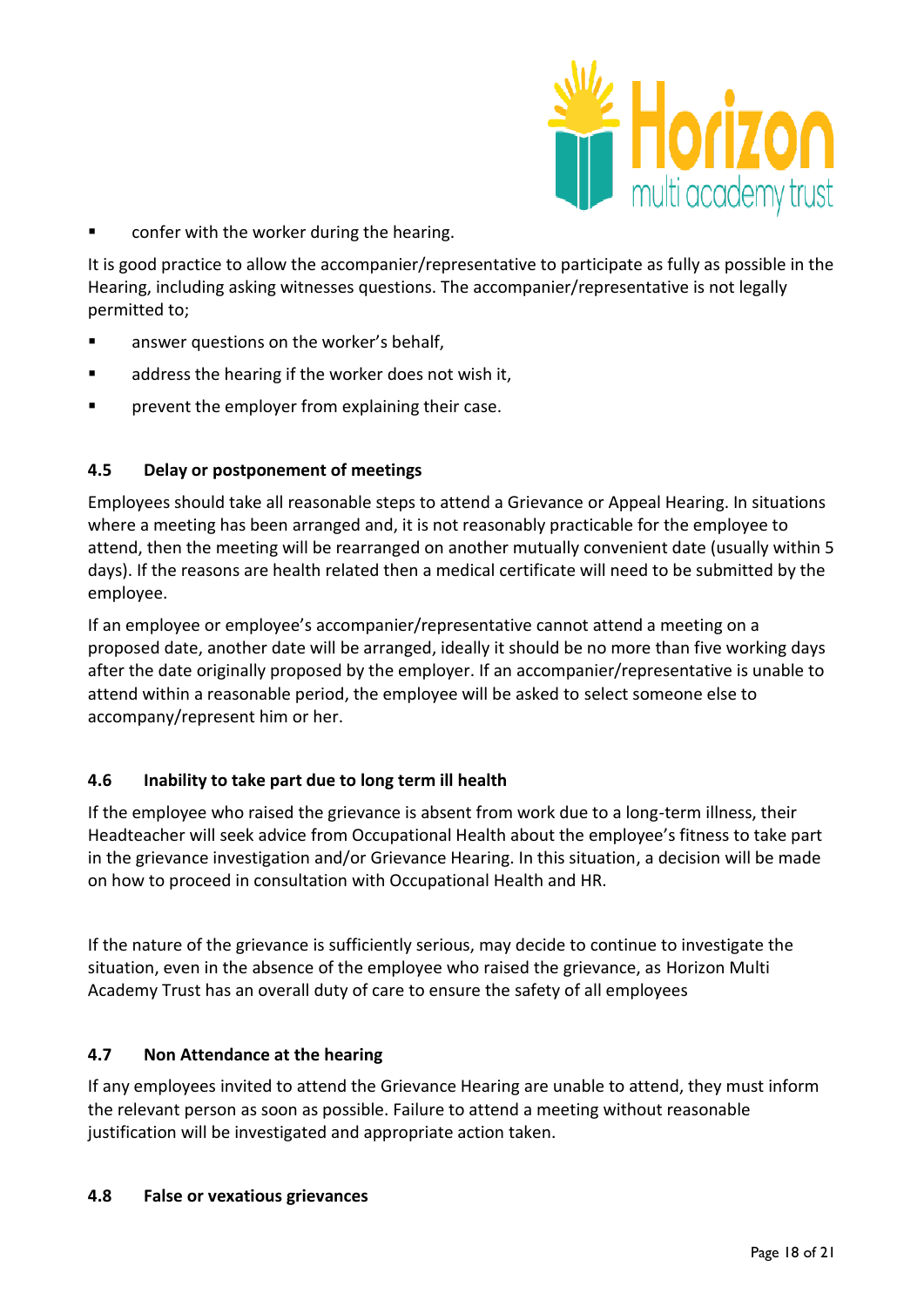

confer with the worker during the hearing.

It is good practice to allow the accompanier/representative to participate as fully as possible in the Hearing, including asking witnesses questions. The accompanier/representative is not legally permitted to;

- **EXEC** answer questions on the worker's behalf,
- **a** address the hearing if the worker does not wish it,
- prevent the employer from explaining their case.

#### **4.5 Delay or postponement of meetings**

Employees should take all reasonable steps to attend a Grievance or Appeal Hearing. In situations where a meeting has been arranged and, it is not reasonably practicable for the employee to attend, then the meeting will be rearranged on another mutually convenient date (usually within 5 days). If the reasons are health related then a medical certificate will need to be submitted by the employee.

If an employee or employee's accompanier/representative cannot attend a meeting on a proposed date, another date will be arranged, ideally it should be no more than five working days after the date originally proposed by the employer. If an accompanier/representative is unable to attend within a reasonable period, the employee will be asked to select someone else to accompany/represent him or her.

#### **4.6 Inability to take part due to long term ill health**

If the employee who raised the grievance is absent from work due to a long-term illness, their Headteacher will seek advice from Occupational Health about the employee's fitness to take part in the grievance investigation and/or Grievance Hearing. In this situation, a decision will be made on how to proceed in consultation with Occupational Health and HR.

If the nature of the grievance is sufficiently serious, may decide to continue to investigate the situation, even in the absence of the employee who raised the grievance, as Horizon Multi Academy Trust has an overall duty of care to ensure the safety of all employees

#### **4.7 Non Attendance at the hearing**

If any employees invited to attend the Grievance Hearing are unable to attend, they must inform the relevant person as soon as possible. Failure to attend a meeting without reasonable justification will be investigated and appropriate action taken.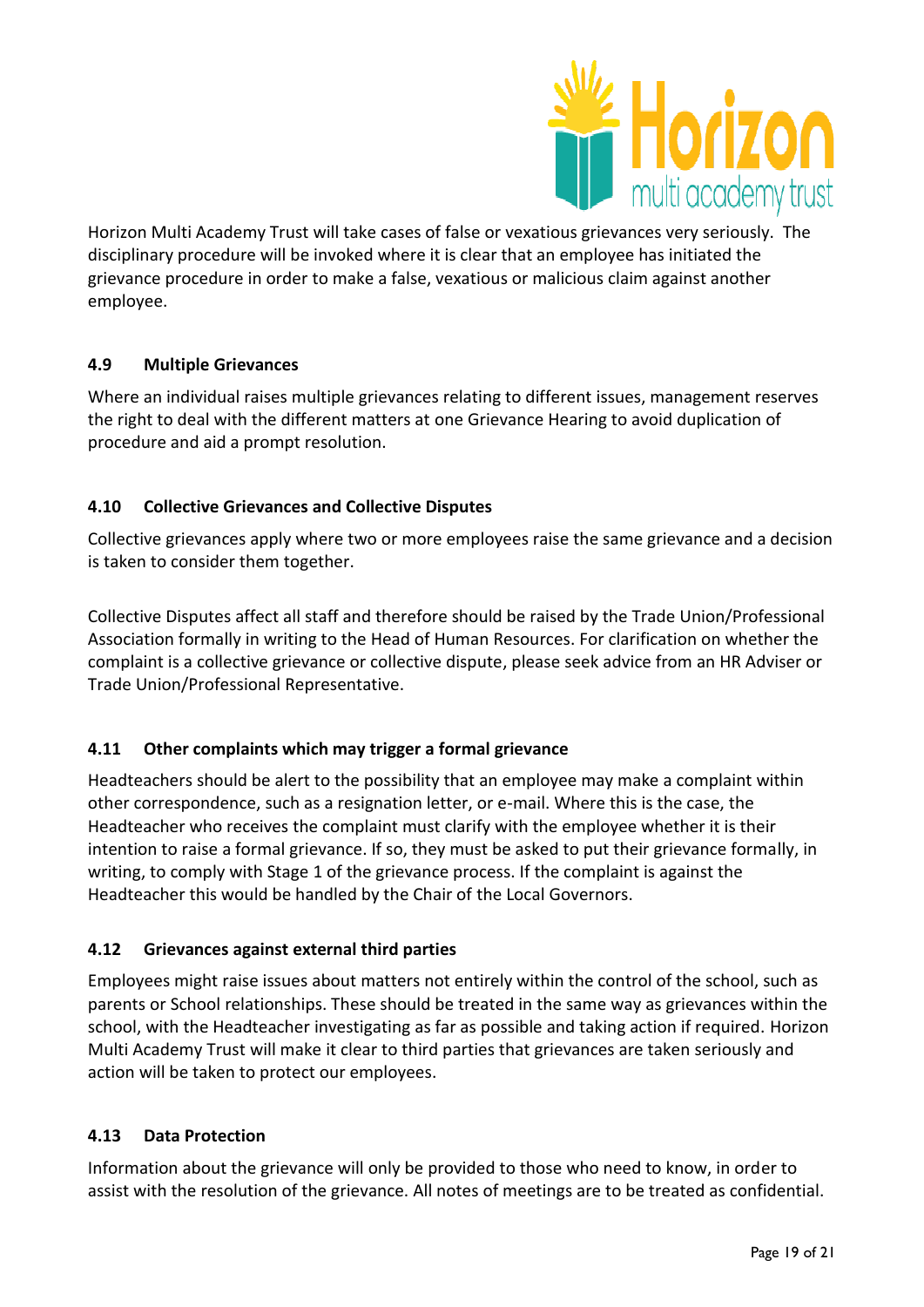

Horizon Multi Academy Trust will take cases of false or vexatious grievances very seriously. The disciplinary procedure will be invoked where it is clear that an employee has initiated the grievance procedure in order to make a false, vexatious or malicious claim against another employee.

# **4.9 Multiple Grievances**

Where an individual raises multiple grievances relating to different issues, management reserves the right to deal with the different matters at one Grievance Hearing to avoid duplication of procedure and aid a prompt resolution.

# **4.10 Collective Grievances and Collective Disputes**

Collective grievances apply where two or more employees raise the same grievance and a decision is taken to consider them together.

Collective Disputes affect all staff and therefore should be raised by the Trade Union/Professional Association formally in writing to the Head of Human Resources. For clarification on whether the complaint is a collective grievance or collective dispute, please seek advice from an HR Adviser or Trade Union/Professional Representative.

# **4.11 Other complaints which may trigger a formal grievance**

Headteachers should be alert to the possibility that an employee may make a complaint within other correspondence, such as a resignation letter, or e-mail. Where this is the case, the Headteacher who receives the complaint must clarify with the employee whether it is their intention to raise a formal grievance. If so, they must be asked to put their grievance formally, in writing, to comply with Stage 1 of the grievance process. If the complaint is against the Headteacher this would be handled by the Chair of the Local Governors.

# **4.12 Grievances against external third parties**

Employees might raise issues about matters not entirely within the control of the school, such as parents or School relationships. These should be treated in the same way as grievances within the school, with the Headteacher investigating as far as possible and taking action if required. Horizon Multi Academy Trust will make it clear to third parties that grievances are taken seriously and action will be taken to protect our employees.

# **4.13 Data Protection**

Information about the grievance will only be provided to those who need to know, in order to assist with the resolution of the grievance. All notes of meetings are to be treated as confidential.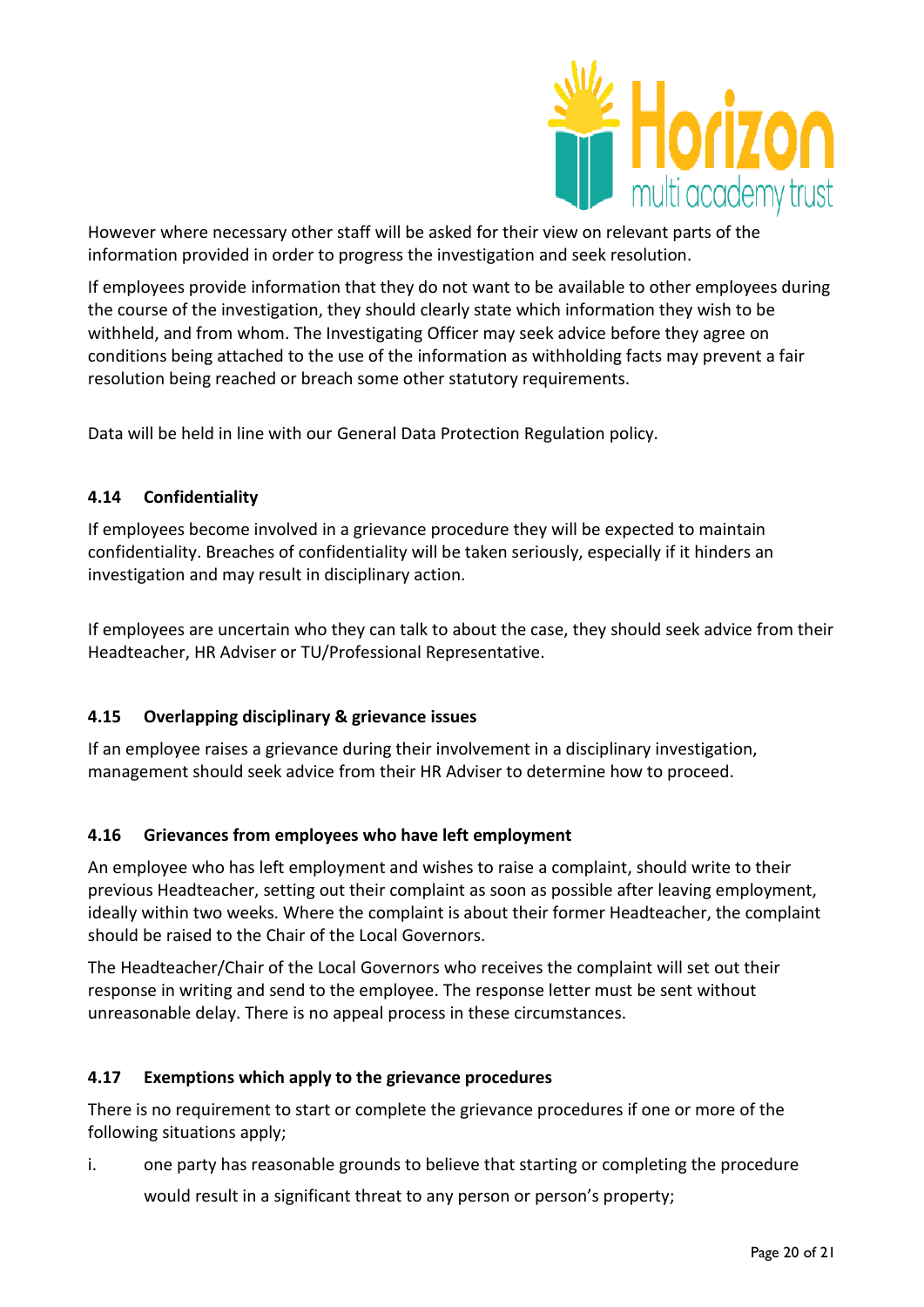

However where necessary other staff will be asked for their view on relevant parts of the information provided in order to progress the investigation and seek resolution.

If employees provide information that they do not want to be available to other employees during the course of the investigation, they should clearly state which information they wish to be withheld, and from whom. The Investigating Officer may seek advice before they agree on conditions being attached to the use of the information as withholding facts may prevent a fair resolution being reached or breach some other statutory requirements.

Data will be held in line with our General Data Protection Regulation policy.

## **4.14 Confidentiality**

If employees become involved in a grievance procedure they will be expected to maintain confidentiality. Breaches of confidentiality will be taken seriously, especially if it hinders an investigation and may result in disciplinary action.

If employees are uncertain who they can talk to about the case, they should seek advice from their Headteacher, HR Adviser or TU/Professional Representative.

# **4.15 Overlapping disciplinary & grievance issues**

If an employee raises a grievance during their involvement in a disciplinary investigation, management should seek advice from their HR Adviser to determine how to proceed.

# **4.16 Grievances from employees who have left employment**

An employee who has left employment and wishes to raise a complaint, should write to their previous Headteacher, setting out their complaint as soon as possible after leaving employment, ideally within two weeks. Where the complaint is about their former Headteacher, the complaint should be raised to the Chair of the Local Governors.

The Headteacher/Chair of the Local Governors who receives the complaint will set out their response in writing and send to the employee. The response letter must be sent without unreasonable delay. There is no appeal process in these circumstances.

#### **4.17 Exemptions which apply to the grievance procedures**

There is no requirement to start or complete the grievance procedures if one or more of the following situations apply;

i. one party has reasonable grounds to believe that starting or completing the procedure

would result in a significant threat to any person or person's property;